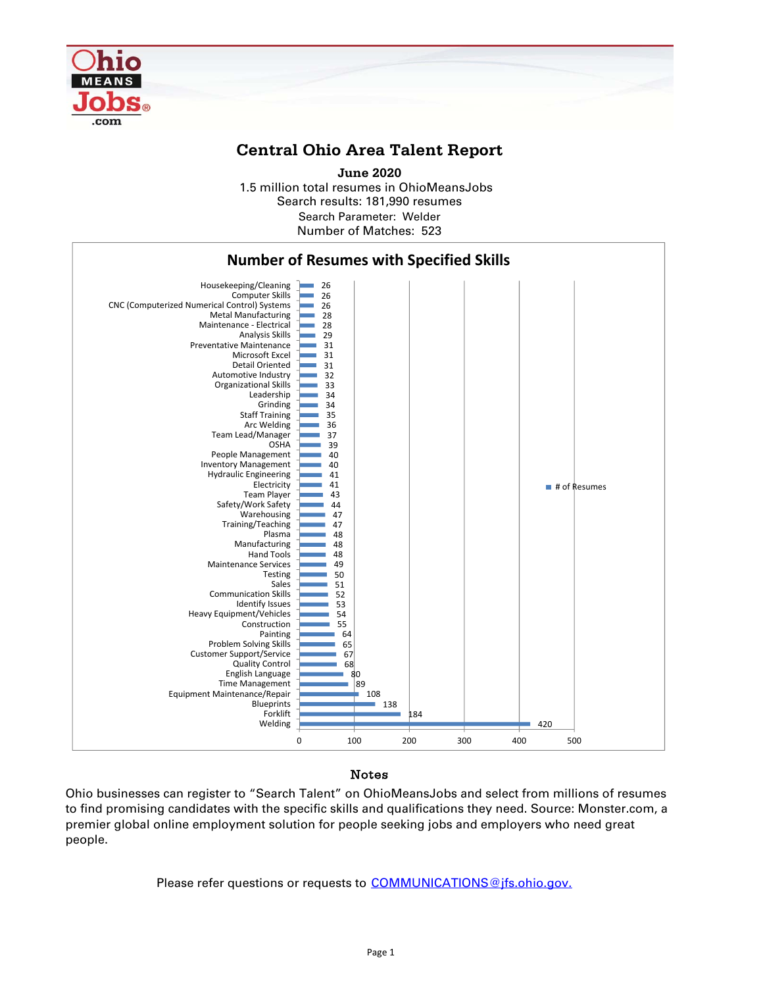

## **Central Ohio Area Talent Report**

1.5 million total resumes in OhioMeansJobs Search results: 181,990 resumes Number of Matches: 523 **June 2020** Search Parameter: Welder



## Notes

Ohio businesses can register to "Search Talent" on OhioMeansJobs and select from millions of resumes to find promising candidates with the specific skills and qualifications they need. Source: Monster.com, a premier global online employment solution for people seeking jobs and employers who need great people.

Please refer questions or requests to COMMUNICATIONS@jfs.ohio.gov.